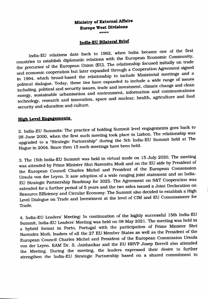### **Ministry of Extemal Affairs Europe West Divisions •••••**

# **India-EU Bilateral Brief**

India-ED relations date back to 1962. when India became one of the flrst countries to establish diplomatic relations with the European Economic Community. the precursor of the European Dnion (ED). The relationship focused initially on trade and economic cooperation but later expanded through a Cooperation Agreement signed in 1994. which broad-based the relationship to include Ministerial meetings and a political dialogue. Today. these ties have expanded to include a wide range of issues including. political and security issues. trade and investment. climate change and clean energy. sustainable urbanisation and environment. information and communications technology. research and innovation. space and nuclear. health. agriculture and food security and education and culture.

# **High Level Enaagements**

2. India-ED Summits: The practice of holding Summit level engagements goes back to 28 June 2000. when the first such meeting took place in Lisbon. The relationship was upgraded to a "Strategic Partnership" during the 5th India-EU Summit held at The Hague in 2004. Since then 15 such meetings have been held.

3. The 15th India-ED Summit was held in virtual mode on 15 July 2020. The meeting was attended by Prime Minister Shri Narendra Modi and on the ED side by President of the European Council Charles Michel and President of the European Commission Ursula von der Leyen. It saw adoption of a wide ranging joint statement and an India-ED Strategic Partnership Roadmap for 2025. The Agreement on S&T Cooperation was extended for a further period of 5 years and the two sides issued a Joint Declaration on Resource Efficiencyand Circular Economy. The Summit also decided to establish a High Level Dialogue on Trade and Investment at the level of CIM and EU Commissioner for Trade.

4. India-ED Leaders' Meeting: In continuation of the highly successful 15th India-ED Summit. India-ED Leaders' Meeting was held on 08 May 2021. The meeting was held in a hybrid format in Porto. Portugal with the participation of Prime Minister Shri Narendra Modi. leaders of all the 27 ED Member States as well as the President of the European Council Charles Michel and President of the European Commission Ursula von der Leyen. EAM Dr. S. Jaishankar and the EU HRVP Josep Borrell also attended the Meeting. During the meeting. the leaders expressed their desire to further strengthen the India-ED Strategic Partnership based on a shared commitment to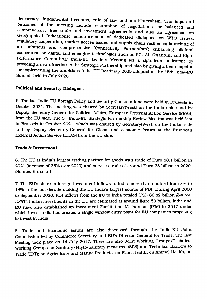democracy, fundamental freedoms, rule of law and multilateralism. The important outcomes of the meeting include resumption of negotiations for balanced and comprehensive free trade and investment agreements and also an agreement on Geographical Indications; announcement of dedicated dialogues on wro issues, regulatory cooperation, market access issues and supply chain resilience; launching of an ambitious and comprehensive 'Connectivity Partnership'; enhancing bilateral cooperation on digital and emerging technologies such as 5G, AI, Quantum and High-Performance Computing; India-ED Leaders Meeting set a Significant milestone by providing a new direction to the Strategic Partnership and also by giving a fresh impetus for implementing the ambitious India-EU Roadmap 2025 adopted at the 15th India-EU Summit held in July 2020.

## **Political and Security Dialogues**

5. The last India-Elf Foreign Policy and Security Consultations were held in Brussels in October 2021. The meeting was chaired by Secretary(West) on the Indian side and by Deputy Secretary General for Political Affairs, European External Action Service (EEAS) from the EU side. The 3<sup>rd</sup> India-EU Strategic Partnership Review Meeting was held last in Brussels in October 2021, which was chaired by Secretary(West) on the Indian side and by Deputy Secretary-General for Global and economic Issues at the European External Action Service (EEAS) from the EU side.

### **Trade & Investment**

6. The ED is India's largest trading partner for goods with trade of Euro 88.1 billion in 2021 (increase of 35% over 2020) and services trade of around Euro 35 billion in 2020. (Source: Eurostat)

7. The ED's share in foreign investment inflows to India more than doubled from 8% to 18% in the last decade making the ED India's largest source of FDI. During April 2000 to September 2020, FDI inflows from the EU to India totaled DSD 86.82 billion *(Source: DPIIT).* Indian investments in the ED are estimated at around Euro 50 billion. India and EU have also established an Investment Facilitation Mechanism (IFM) in 2017 under which Invest India has created a single window entry point for EU companies proposing to invest in India.

8. Trade and Economic issues are also discussed through the India-ED Joint Commission led by Commerce Secretary and EU's Director General for Trade. The last Meeting took place on 14 July 2017. There are also Joint Working Groups/Technical Working Groups on Sanitary/Phyto-Sanitary measures (SPS) and Technical Barriers to Trade (TBT);on Agriculture and Marine Products; on Plant Health; on Animal Health, on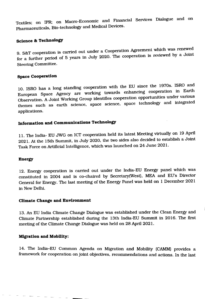Textiles; on IPR; on Macro-Economic and Financial Services Dialogue and on Pharmaceuticals, Bio-technology and Medical Devices.

# **Science & Technology**

9. S&T cooperation is carried out under a Cooperation Agreement which was renewed for a further period of 5 years in July 2020. The cooperation is reviewed by a Joint Steering Committee.

## **Space Cooperation**

10. ISRO has a long standing cooperation with the EU since the 1970s. ISRO and European Space Agency are working towards enhancing cooperation in Earth Observation. A Joint Working Group identifies cooperation opportunities under various themes such as earth science, space science, space technology and integrated applications.

# **Information and Communications Technology**

11. The India- EU JWG on ICT cooperation held its latest Meeting virtually on 19 April 2021. At the 15th Summit, in July 2020, the two sides also decided to establish a Joint Task Force on Artificial Intelligence, which was launched on 24 June 2021.

#### **Energy**

12. Energy cooperation is carried out under the India-EU Energy panel which was constituted in 2004 and is co-chaired by Secretary(West), MEA and EU's Director General for Energy. The last meeting of the Energy Panel was held on 1 December 2021 in NewDelhi.

#### **Climate Change and Environment**

13. An EU India Climate Change Dialogue was established under the Clean Energy and Climate Partnership established during the 13th India-EU Summit in 2016. The first meeting of the Climate Change Dialogue was held on 28 April 2021.

### **Migration and Mobllity:**

 $\sim$ 

14. The India-EU Common Agenda on Migration and Mobility (CAMM) provides a framework for cooperation on joint objectives, recommendations and actions. In the last